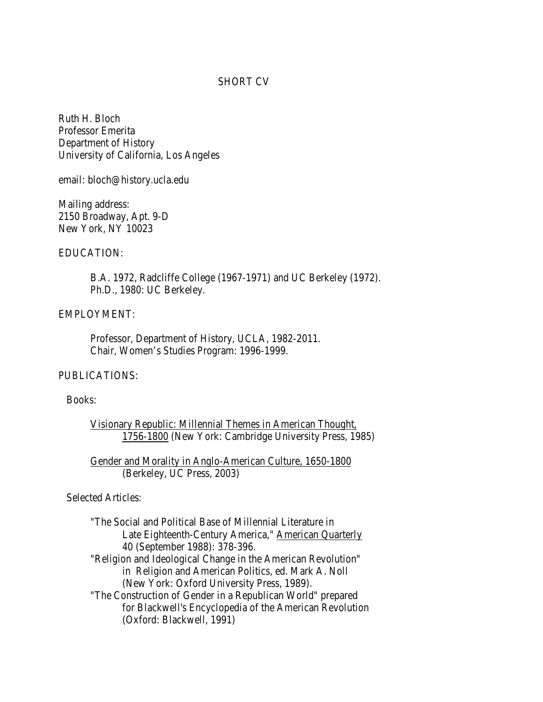#### SHORT CV

Ruth H. Bloch Professor Emerita Department of History University of California, Los Angeles

email: bloch@history.ucla.edu

Mailing address: 2150 Broadway, Apt. 9-D New York, NY 10023

### EDUCATION:

 B.A. 1972, Radcliffe College (1967-1971) and UC Berkeley (1972). Ph.D., 1980: UC Berkeley.

### EMPLOYMENT:

Professor, Department of History, UCLA, 1982-2011. Chair, Women's Studies Program: 1996-1999.

# PUBLICATIONS:

### Books:

Visionary Republic: Millennial Themes in American Thought, 1756-1800 (New York: Cambridge University Press, 1985)

Gender and Morality in Anglo-American Culture, 1650-1800 (Berkeley, UC Press, 2003)

# Selected Articles:

"The Social and Political Base of Millennial Literature in Late Eighteenth-Century America," American Quarterly 40 (September 1988): 378-396. "Religion and Ideological Change in the American Revolution" in Religion and American Politics, ed. Mark A. Noll (New York: Oxford University Press, 1989). "The Construction of Gender in a Republican World" prepared for Blackwell's Encyclopedia of the American Revolution (Oxford: Blackwell, 1991)